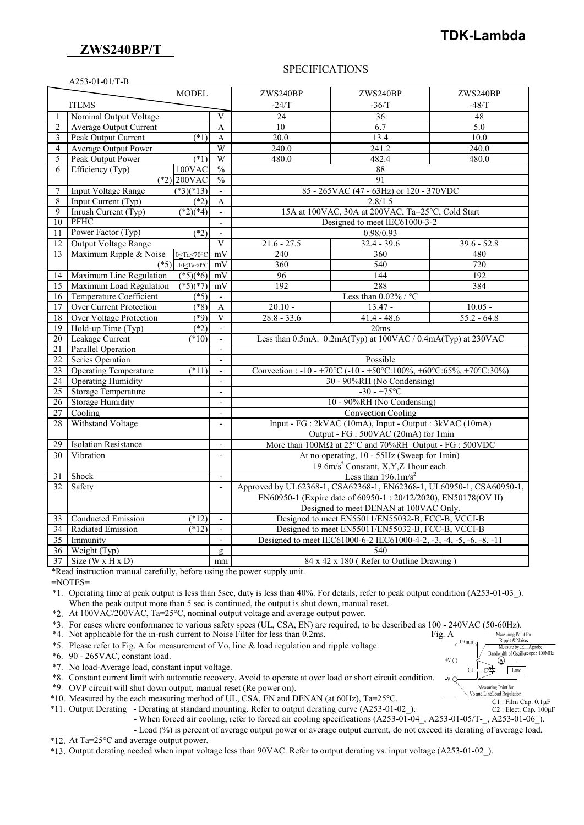## **ZWS240BP/T**

# **TDK-Lambda**

#### A253-01-01/T-B

#### SPECIFICATIONS

|                 |                                                                                                  | <b>MODEL</b>                         |                           | ZWS240BP                                                                    | ZWS240BP      | ZWS240BP           |  |
|-----------------|--------------------------------------------------------------------------------------------------|--------------------------------------|---------------------------|-----------------------------------------------------------------------------|---------------|--------------------|--|
|                 | <b>ITEMS</b>                                                                                     |                                      |                           | $-24/T$                                                                     | $-36/T$       | $-48/T$            |  |
| 1               | Nominal Output Voltage                                                                           |                                      | $\overline{V}$            | 24                                                                          | 36            | 48                 |  |
| $\overline{2}$  | <b>Average Output Current</b>                                                                    |                                      | $\mathbf{A}$              | 10                                                                          | 6.7           | 5.0                |  |
| 3               | Peak Output Current                                                                              | $(*1)$                               | A                         | $\overline{20.0}$                                                           | 13.4          | 10.0               |  |
| $\overline{4}$  | <b>Average Output Power</b>                                                                      |                                      | W                         | 240.0                                                                       | 241.2         | $\overline{240.0}$ |  |
| 5               | Peak Output Power                                                                                | $(*1)$                               | W                         | 480.0                                                                       | 482.4         | 480.0              |  |
| 6               | Efficiency (Typ)                                                                                 | $100$ VAC                            | $\overline{\frac{0}{0}}$  | 88                                                                          |               |                    |  |
|                 |                                                                                                  | $(*2)$ 200VAC                        | $\frac{0}{0}$             | 91                                                                          |               |                    |  |
| $\overline{7}$  | <b>Input Voltage Range</b>                                                                       | $(*3)(*13)$                          | $\blacksquare$            | 85 - 265VAC (47 - 63Hz) or 120 - 370VDC                                     |               |                    |  |
| $\,$ 8 $\,$     | Input Current (Typ)                                                                              | $(*2)$                               | A                         | 2.8/1.5                                                                     |               |                    |  |
| 9               | Inrush Current (Typ)                                                                             | $(*2)(*4)$                           |                           | 15A at 100VAC, 30A at 200VAC, Ta=25°C, Cold Start                           |               |                    |  |
| 10              | <b>PFHC</b>                                                                                      |                                      | $\blacksquare$            | Designed to meet IEC61000-3-2                                               |               |                    |  |
| 11              | Power Factor (Typ)                                                                               | $(*2)$                               | $\overline{a}$            | 0.98/0.93                                                                   |               |                    |  |
| 12              | <b>Output Voltage Range</b>                                                                      |                                      | $\overline{\mathbf{V}}$   | $21.6 - 27.5$                                                               | $32.4 - 39.6$ | $39.6 - 52.8$      |  |
| 13              | Maximum Ripple & Noise                                                                           | $0 \leq Ta \leq 70^{\circ}C$         | mV                        | 240                                                                         | 360           | 480                |  |
|                 | $(*5)$                                                                                           | -10 <ta<0<math>^{\circ}C</ta<0<math> | $m\overline{V}$           | 360                                                                         | 540           | 720                |  |
| 14              | Maximum Line Regulation                                                                          | $(*5)(*6)$                           | mV                        | 96                                                                          | 144           | 192                |  |
| 15              | Maximum Load Regulation                                                                          | $(*5)(*7)$                           | mV                        | 192                                                                         | 288           | 384                |  |
| 16              | Temperature Coefficient                                                                          | $( *5)$                              |                           | Less than $0.02\%$ / °C                                                     |               |                    |  |
| $\overline{17}$ | <b>Over Current Protection</b>                                                                   | $(*8)$                               | $\overline{A}$            | $20.10 -$                                                                   | $13.47 -$     | $10.05 -$          |  |
| 18              | <b>Over Voltage Protection</b>                                                                   | $\sqrt{49}$                          | $\overline{\mathbf{V}}$   | $28.8 - 33.6$                                                               | $41.4 - 48.6$ | $55.2 - 64.8$      |  |
| $\overline{19}$ | Hold-up Time (Typ)                                                                               | $(*2)$                               | $\blacksquare$            |                                                                             | 20ms          |                    |  |
| 20              | Leakage Current                                                                                  | $(*10)$                              | $\mathbb{Z}^{\mathbb{Z}}$ | Less than 0.5mA. 0.2mA(Typ) at 100VAC / 0.4mA(Typ) at 230VAC                |               |                    |  |
| 21              | <b>Parallel Operation</b>                                                                        |                                      | $\overline{\phantom{a}}$  |                                                                             |               |                    |  |
| $\overline{22}$ | Series Operation                                                                                 |                                      |                           | Possible                                                                    |               |                    |  |
| 23              | <b>Operating Temperature</b>                                                                     | $(*11)$                              | $\overline{\phantom{a}}$  | Convection : -10 - +70°C (-10 - +50°C:100%, +60°C:65%, +70°C:30%)           |               |                    |  |
| 24              | <b>Operating Humidity</b>                                                                        |                                      | $\overline{a}$            | 30 - 90%RH (No Condensing)                                                  |               |                    |  |
| 25              | Storage Temperature                                                                              |                                      | $\overline{a}$            | $-30 - +75$ °C                                                              |               |                    |  |
| 26              | <b>Storage Humidity</b>                                                                          |                                      | $\blacksquare$            | 10 - 90%RH (No Condensing)                                                  |               |                    |  |
| 27              | Cooling                                                                                          |                                      | $\overline{a}$            | <b>Convection Cooling</b>                                                   |               |                    |  |
| 28              | Withstand Voltage                                                                                |                                      | $\overline{\phantom{a}}$  | Input - FG : 2kVAC (10mA), Input - Output : 3kVAC (10mA)                    |               |                    |  |
|                 |                                                                                                  |                                      |                           | Output - FG : 500VAC (20mA) for 1min                                        |               |                    |  |
| 29              | <b>Isolation Resistance</b>                                                                      |                                      | $\overline{\phantom{a}}$  | More than $100M\Omega$ at $25^{\circ}$ C and $70\%$ RH Output - FG : 500VDC |               |                    |  |
| 30              | Vibration                                                                                        |                                      | $\overline{a}$            | At no operating, 10 - 55Hz (Sweep for 1min)                                 |               |                    |  |
|                 |                                                                                                  |                                      |                           | 19.6m/s <sup>2</sup> Constant, X, Y, Z 1 hour each.                         |               |                    |  |
| 31              | Shock                                                                                            |                                      | $\mathbf{r}$              | Less than $196.1 \text{m/s}^2$                                              |               |                    |  |
| 32              | Approved by UL62368-1, CSA62368-1, EN62368-1, UL60950-1, CSA60950-1,<br>Safety<br>$\blacksquare$ |                                      |                           |                                                                             |               |                    |  |
|                 | EN60950-1 (Expire date of 60950-1:20/12/2020), EN50178(OV II)                                    |                                      |                           |                                                                             |               |                    |  |
|                 |                                                                                                  |                                      |                           | Designed to meet DENAN at 100VAC Only.                                      |               |                    |  |
| 33              | <b>Conducted Emission</b>                                                                        | $(*12)$                              | $\mathbf{r}$              | Designed to meet EN55011/EN55032-B, FCC-B, VCCI-B                           |               |                    |  |
| 34              | Radiated Emission                                                                                | (12)                                 |                           | Designed to meet EN55011/EN55032-B, FCC-B, VCCI-B                           |               |                    |  |
| 35              | Immunity                                                                                         |                                      |                           | Designed to meet IEC61000-6-2 IEC61000-4-2, -3, -4, -5, -6, -8, -11         |               |                    |  |
| $\overline{36}$ | Weight (Typ)                                                                                     |                                      | $\mathbf{Q}$              | 540                                                                         |               |                    |  |
| $\overline{37}$ | Size ( $W \times H \times D$ )                                                                   |                                      | mm                        | 84 x 42 x 180 (Refer to Outline Drawing)                                    |               |                    |  |

\*Read instruction manual carefully, before using the power supply unit.

=NOTES=

\*1. Operating time at peak output is less than 5sec, duty is less than 40%. For details, refer to peak output condition (A253-01-03\_). When the peak output more than 5 sec is continued, the output is shut down, manual reset.

\*2. At 100VAC/200VAC, Ta=25°C, nominal output voltage and average output power.

\*3. For cases where conformance to various safety specs (UL, CSA, EN) are required, to be described as 100 - 240VAC (50-60Hz).<br>\*4. Not applicable for the in-rush current to Noise Filter for less than 0.2ms.<br>\*5. Please refe

\*4. Not applicable for the in-rush current to Noise Filter for less than 0.2ms. Fig. A

\*5. Please refer to Fig. A for measurement of Vo, line & load regulation and ripple voltage.

\*6. 90 - 265VAC, constant load.

\*7. No load-Average load, constant input voltage.

\*8. Constant current limit with automatic recovery. Avoid to operate at over load or short circuit condition.

\*9. OVP circuit will shut down output, manual reset (Re power on).

\*10. Measured by the each measuring method of UL, CSA, EN and DENAN (at 60Hz), Ta=25°C.

\*11. Output Derating - Derating at standard mounting. Refer to output derating curve (A253-01-02\_).

- When forced air cooling, refer to forced air cooling specifications (A253-01-04\_, A253-01-05/T-\_, A253-01-06\_).

- Load (%) is percent of average output power or average output current, do not exceed its derating of average load.

\*12. At Ta=25°C and average output power.

\*13. Output derating needed when input voltage less than 90VAC. Refer to output derating vs. input voltage (A253-01-02\_).